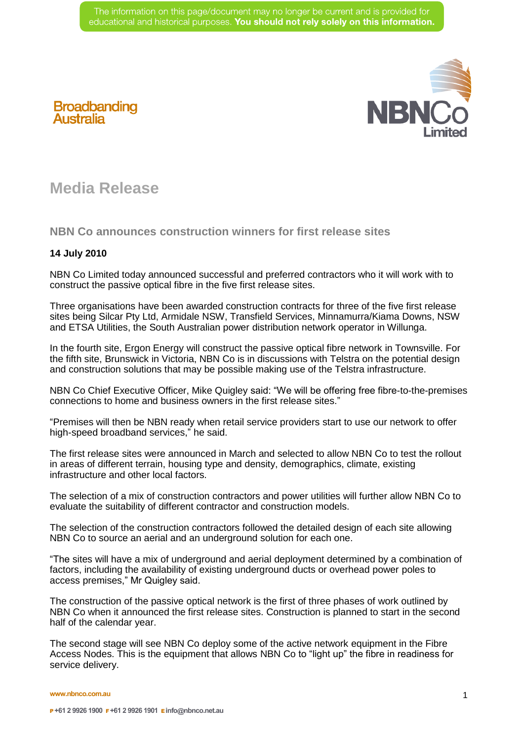

## **Broadbanding**<br>Australia

## **Media Release**

**NBN Co announces construction winners for first release sites** 

## **14 July 2010**

NBN Co Limited today announced successful and preferred contractors who it will work with to construct the passive optical fibre in the five first release sites.

Three organisations have been awarded construction contracts for three of the five first release sites being Silcar Pty Ltd, Armidale NSW, Transfield Services, Minnamurra/Kiama Downs, NSW and ETSA Utilities, the South Australian power distribution network operator in Willunga.

In the fourth site, Ergon Energy will construct the passive optical fibre network in Townsville. For the fifth site, Brunswick in Victoria, NBN Co is in discussions with Telstra on the potential design and construction solutions that may be possible making use of the Telstra infrastructure.

NBN Co Chief Executive Officer, Mike Quigley said: "We will be offering free fibre-to-the-premises connections to home and business owners in the first release sites."

"Premises will then be NBN ready when retail service providers start to use our network to offer high-speed broadband services," he said.

The first release sites were announced in March and selected to allow NBN Co to test the rollout in areas of different terrain, housing type and density, demographics, climate, existing infrastructure and other local factors.

The selection of a mix of construction contractors and power utilities will further allow NBN Co to evaluate the suitability of different contractor and construction models.

The selection of the construction contractors followed the detailed design of each site allowing NBN Co to source an aerial and an underground solution for each one.

"The sites will have a mix of underground and aerial deployment determined by a combination of factors, including the availability of existing underground ducts or overhead power poles to access premises," Mr Quigley said.

The construction of the passive optical network is the first of three phases of work outlined by NBN Co when it announced the first release sites. Construction is planned to start in the second half of the calendar year.

The second stage will see NBN Co deploy some of the active network equipment in the Fibre Access Nodes. This is the equipment that allows NBN Co to "light up" the fibre in readiness for service delivery.

**www.nbnco.com.au**